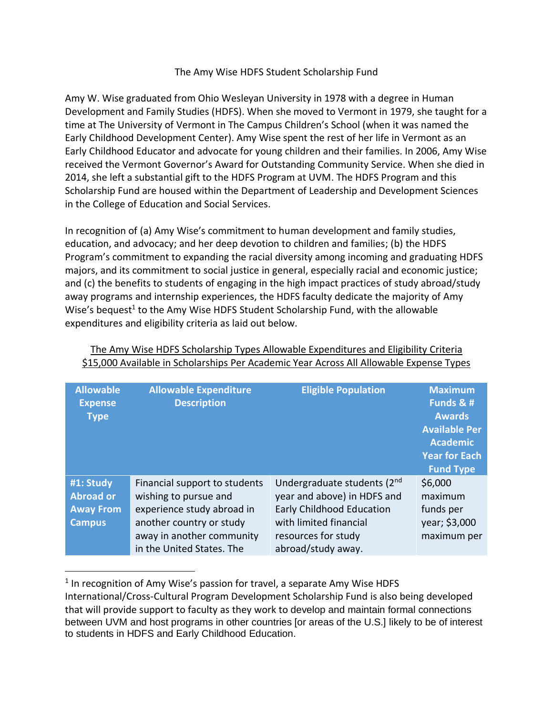## The Amy Wise HDFS Student Scholarship Fund

Amy W. Wise graduated from Ohio Wesleyan University in 1978 with a degree in Human Development and Family Studies (HDFS). When she moved to Vermont in 1979, she taught for a time at The University of Vermont in The Campus Children's School (when it was named the Early Childhood Development Center). Amy Wise spent the rest of her life in Vermont as an Early Childhood Educator and advocate for young children and their families. In 2006, Amy Wise received the Vermont Governor's Award for Outstanding Community Service. When she died in 2014, she left a substantial gift to the HDFS Program at UVM. The HDFS Program and this Scholarship Fund are housed within the Department of Leadership and Development Sciences in the College of Education and Social Services.

In recognition of (a) Amy Wise's commitment to human development and family studies, education, and advocacy; and her deep devotion to children and families; (b) the HDFS Program's commitment to expanding the racial diversity among incoming and graduating HDFS majors, and its commitment to social justice in general, especially racial and economic justice; and (c) the benefits to students of engaging in the high impact practices of study abroad/study away programs and internship experiences, the HDFS faculty dedicate the majority of Amy Wise's bequest<sup>1</sup> to the Amy Wise HDFS Student Scholarship Fund, with the allowable expenditures and eligibility criteria as laid out below.

| <b>Allowable</b><br><b>Expense</b><br><b>Type</b>                  | <b>Allowable Expenditure</b><br><b>Description</b>                                                                                                                         | <b>Eligible Population</b>                                                                                                                                            | <b>Maximum</b><br>Funds & #<br><b>Awards</b><br><b>Available Per</b><br><b>Academic</b><br><b>Year for Each</b><br><b>Fund Type</b> |
|--------------------------------------------------------------------|----------------------------------------------------------------------------------------------------------------------------------------------------------------------------|-----------------------------------------------------------------------------------------------------------------------------------------------------------------------|-------------------------------------------------------------------------------------------------------------------------------------|
| #1: Study<br><b>Abroad or</b><br><b>Away From</b><br><b>Campus</b> | Financial support to students<br>wishing to pursue and<br>experience study abroad in<br>another country or study<br>away in another community<br>in the United States. The | Undergraduate students (2nd<br>year and above) in HDFS and<br><b>Early Childhood Education</b><br>with limited financial<br>resources for study<br>abroad/study away. | \$6,000<br>maximum<br>funds per<br>year; \$3,000<br>maximum per                                                                     |

The Amy Wise HDFS Scholarship Types Allowable Expenditures and Eligibility Criteria \$15,000 Available in Scholarships Per Academic Year Across All Allowable Expense Types

<sup>&</sup>lt;sup>1</sup> In recognition of Amy Wise's passion for travel, a separate Amy Wise HDFS

International/Cross-Cultural Program Development Scholarship Fund is also being developed that will provide support to faculty as they work to develop and maintain formal connections between UVM and host programs in other countries [or areas of the U.S.] likely to be of interest to students in HDFS and Early Childhood Education.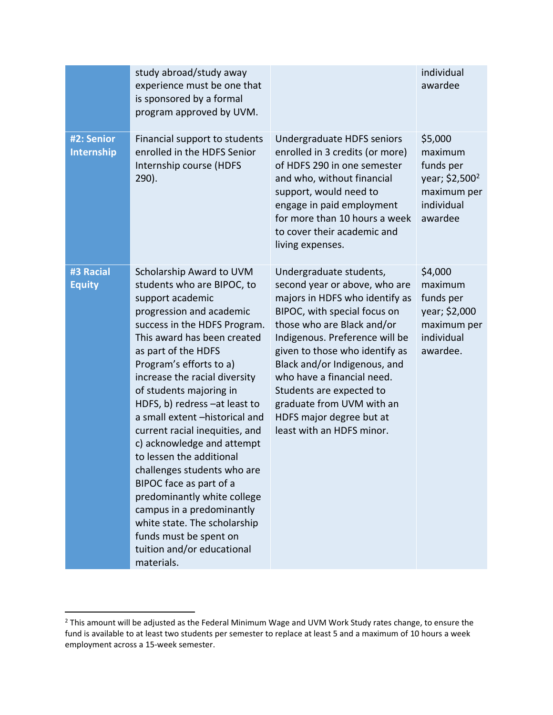|                            | study abroad/study away<br>experience must be one that<br>is sponsored by a formal<br>program approved by UVM.                                                                                                                                                                                                                                                                                                                                                                                                                                                                                                                                                                 |                                                                                                                                                                                                                                                                                                                                                                                                              | individual<br>awardee                                                                                 |
|----------------------------|--------------------------------------------------------------------------------------------------------------------------------------------------------------------------------------------------------------------------------------------------------------------------------------------------------------------------------------------------------------------------------------------------------------------------------------------------------------------------------------------------------------------------------------------------------------------------------------------------------------------------------------------------------------------------------|--------------------------------------------------------------------------------------------------------------------------------------------------------------------------------------------------------------------------------------------------------------------------------------------------------------------------------------------------------------------------------------------------------------|-------------------------------------------------------------------------------------------------------|
| #2: Senior<br>Internship   | Financial support to students<br>enrolled in the HDFS Senior<br>Internship course (HDFS<br>$290$ ).                                                                                                                                                                                                                                                                                                                                                                                                                                                                                                                                                                            | Undergraduate HDFS seniors<br>enrolled in 3 credits (or more)<br>of HDFS 290 in one semester<br>and who, without financial<br>support, would need to<br>engage in paid employment<br>for more than 10 hours a week<br>to cover their academic and<br>living expenses.                                                                                                                                        | \$5,000<br>maximum<br>funds per<br>year; \$2,500 <sup>2</sup><br>maximum per<br>individual<br>awardee |
| #3 Racial<br><b>Equity</b> | Scholarship Award to UVM<br>students who are BIPOC, to<br>support academic<br>progression and academic<br>success in the HDFS Program.<br>This award has been created<br>as part of the HDFS<br>Program's efforts to a)<br>increase the racial diversity<br>of students majoring in<br>HDFS, b) redress -at least to<br>a small extent -historical and<br>current racial inequities, and<br>c) acknowledge and attempt<br>to lessen the additional<br>challenges students who are<br>BIPOC face as part of a<br>predominantly white college<br>campus in a predominantly<br>white state. The scholarship<br>funds must be spent on<br>tuition and/or educational<br>materials. | Undergraduate students,<br>second year or above, who are<br>majors in HDFS who identify as<br>BIPOC, with special focus on<br>those who are Black and/or<br>Indigenous. Preference will be<br>given to those who identify as<br>Black and/or Indigenous, and<br>who have a financial need.<br>Students are expected to<br>graduate from UVM with an<br>HDFS major degree but at<br>least with an HDFS minor. | \$4,000<br>maximum<br>funds per<br>year; \$2,000<br>maximum per<br>individual<br>awardee.             |

<sup>&</sup>lt;sup>2</sup> This amount will be adjusted as the Federal Minimum Wage and UVM Work Study rates change, to ensure the fund is available to at least two students per semester to replace at least 5 and a maximum of 10 hours a week employment across a 15-week semester.